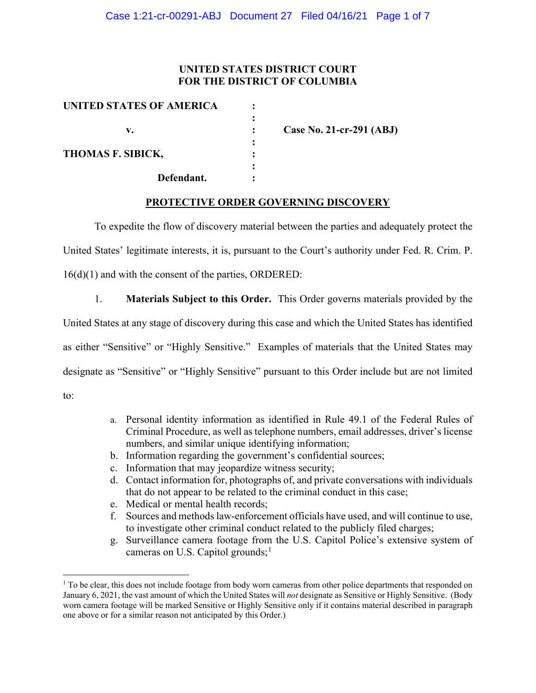### **UNITED STATES DISTRICT COURT FOR THE DISTRICT OF COLUMBIA**

| UNITED STATES OF AMERICA |             |                          |
|--------------------------|-------------|--------------------------|
| v.                       | ٠           | Case No. 21-cr-291 (ABJ) |
| THOMAS F. SIBICK,        | ٠<br>٠<br>٠ |                          |
| Defendant.               |             |                          |

### **PROTECTIVE ORDER GOVERNING DISCOVERY**

To expedite the flow of discovery material between the parties and adequately protect the United States' legitimate interests, it is, pursuant to the Court's authority under Fed. R. Crim. P. 16(d)(1) and with the consent of the parties, ORDERED:

1. **Materials Subject to this Order.** This Order governs materials provided by the United States at any stage of discovery during this case and which the United States has identified as either "Sensitive" or "Highly Sensitive." Examples of materials that the United States may designate as "Sensitive" or "Highly Sensitive" pursuant to this Order include but are not limited to:

- a. Personal identity information as identified in Rule 49.1 of the Federal Rules of Criminal Procedure, as well as telephone numbers, email addresses, driver's license numbers, and similar unique identifying information;
- b. Information regarding the government's confidential sources;
- c. Information that may jeopardize witness security;
- d. Contact information for, photographs of, and private conversations with individuals that do not appear to be related to the criminal conduct in this case;
- e. Medical or mental health records;
- f. Sources and methods law-enforcement officials have used, and will continue to use, to investigate other criminal conduct related to the publicly filed charges;
- g. Surveillance camera footage from the U.S. Capitol Police's extensive system of cameras on U.S. Capitol grounds;<sup>1</sup>

 $1$  To be clear, this does not include footage from body worn cameras from other police departments that responded on January 6, 2021, the vast amount of which the United States will *not* designate as Sensitive or Highly Sensitive. (Body worn camera footage will be marked Sensitive or Highly Sensitive only if it contains material described in paragraph one above or for a similar reason not anticipated by this Order.)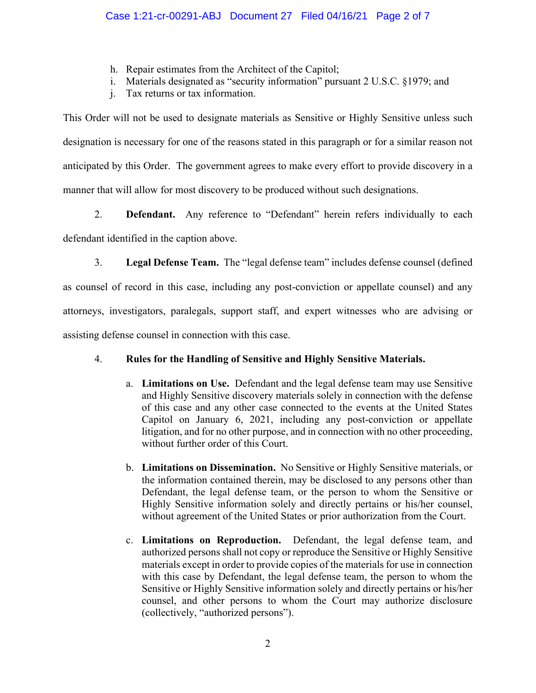- h. Repair estimates from the Architect of the Capitol;
- i. Materials designated as "security information" pursuant 2 U.S.C. §1979; and
- j. Tax returns or tax information.

This Order will not be used to designate materials as Sensitive or Highly Sensitive unless such designation is necessary for one of the reasons stated in this paragraph or for a similar reason not anticipated by this Order. The government agrees to make every effort to provide discovery in a manner that will allow for most discovery to be produced without such designations.

2. **Defendant.** Any reference to "Defendant" herein refers individually to each defendant identified in the caption above.

3. **Legal Defense Team.** The "legal defense team" includes defense counsel (defined as counsel of record in this case, including any post-conviction or appellate counsel) and any attorneys, investigators, paralegals, support staff, and expert witnesses who are advising or assisting defense counsel in connection with this case.

# 4. **Rules for the Handling of Sensitive and Highly Sensitive Materials.**

- a. **Limitations on Use.** Defendant and the legal defense team may use Sensitive and Highly Sensitive discovery materials solely in connection with the defense of this case and any other case connected to the events at the United States Capitol on January 6, 2021, including any post-conviction or appellate litigation, and for no other purpose, and in connection with no other proceeding, without further order of this Court.
- b. **Limitations on Dissemination.** No Sensitive or Highly Sensitive materials, or the information contained therein, may be disclosed to any persons other than Defendant, the legal defense team, or the person to whom the Sensitive or Highly Sensitive information solely and directly pertains or his/her counsel, without agreement of the United States or prior authorization from the Court.
- c. **Limitations on Reproduction.** Defendant, the legal defense team, and authorized persons shall not copy or reproduce the Sensitive or Highly Sensitive materials except in order to provide copies of the materials for use in connection with this case by Defendant, the legal defense team, the person to whom the Sensitive or Highly Sensitive information solely and directly pertains or his/her counsel, and other persons to whom the Court may authorize disclosure (collectively, "authorized persons").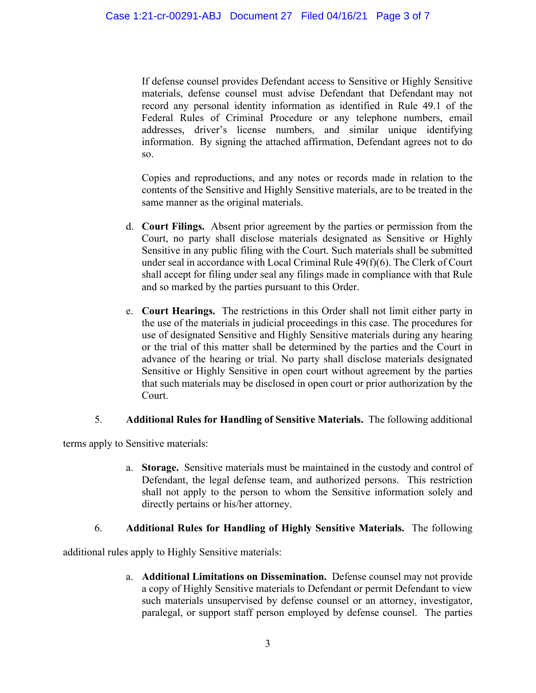If defense counsel provides Defendant access to Sensitive or Highly Sensitive materials, defense counsel must advise Defendant that Defendant may not record any personal identity information as identified in Rule 49.1 of the Federal Rules of Criminal Procedure or any telephone numbers, email addresses, driver's license numbers, and similar unique identifying information. By signing the attached affirmation, Defendant agrees not to do so.

Copies and reproductions, and any notes or records made in relation to the contents of the Sensitive and Highly Sensitive materials, are to be treated in the same manner as the original materials.

- d. **Court Filings.** Absent prior agreement by the parties or permission from the Court, no party shall disclose materials designated as Sensitive or Highly Sensitive in any public filing with the Court. Such materials shall be submitted under seal in accordance with Local Criminal Rule 49(f)(6). The Clerk of Court shall accept for filing under seal any filings made in compliance with that Rule and so marked by the parties pursuant to this Order.
- e. **Court Hearings.** The restrictions in this Order shall not limit either party in the use of the materials in judicial proceedings in this case. The procedures for use of designated Sensitive and Highly Sensitive materials during any hearing or the trial of this matter shall be determined by the parties and the Court in advance of the hearing or trial. No party shall disclose materials designated Sensitive or Highly Sensitive in open court without agreement by the parties that such materials may be disclosed in open court or prior authorization by the Court.

## 5. **Additional Rules for Handling of Sensitive Materials.** The following additional

terms apply to Sensitive materials:

a. **Storage.** Sensitive materials must be maintained in the custody and control of Defendant, the legal defense team, and authorized persons. This restriction shall not apply to the person to whom the Sensitive information solely and directly pertains or his/her attorney.

# 6. **Additional Rules for Handling of Highly Sensitive Materials.** The following

additional rules apply to Highly Sensitive materials:

a. **Additional Limitations on Dissemination.** Defense counsel may not provide a copy of Highly Sensitive materials to Defendant or permit Defendant to view such materials unsupervised by defense counsel or an attorney, investigator, paralegal, or support staff person employed by defense counsel. The parties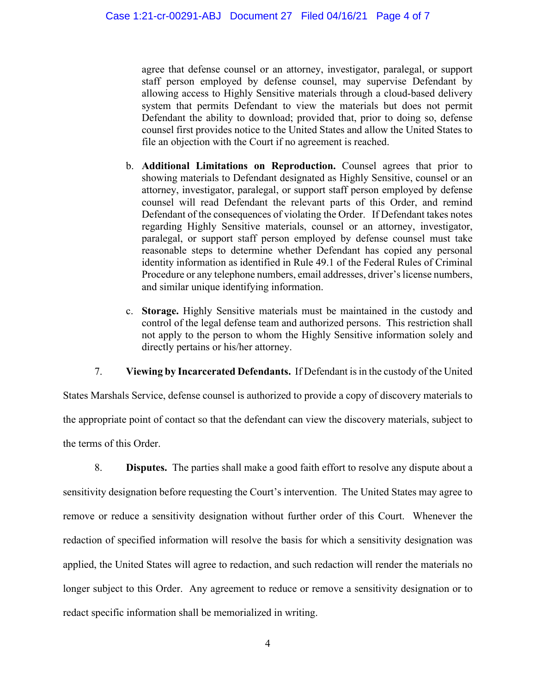agree that defense counsel or an attorney, investigator, paralegal, or support staff person employed by defense counsel, may supervise Defendant by allowing access to Highly Sensitive materials through a cloud-based delivery system that permits Defendant to view the materials but does not permit Defendant the ability to download; provided that, prior to doing so, defense counsel first provides notice to the United States and allow the United States to file an objection with the Court if no agreement is reached.

- b. **Additional Limitations on Reproduction.** Counsel agrees that prior to showing materials to Defendant designated as Highly Sensitive, counsel or an attorney, investigator, paralegal, or support staff person employed by defense counsel will read Defendant the relevant parts of this Order, and remind Defendant of the consequences of violating the Order. If Defendant takes notes regarding Highly Sensitive materials, counsel or an attorney, investigator, paralegal, or support staff person employed by defense counsel must take reasonable steps to determine whether Defendant has copied any personal identity information as identified in Rule 49.1 of the Federal Rules of Criminal Procedure or any telephone numbers, email addresses, driver's license numbers, and similar unique identifying information.
- c. **Storage.** Highly Sensitive materials must be maintained in the custody and control of the legal defense team and authorized persons. This restriction shall not apply to the person to whom the Highly Sensitive information solely and directly pertains or his/her attorney.

7. **Viewing by Incarcerated Defendants.** If Defendant is in the custody of the United

States Marshals Service, defense counsel is authorized to provide a copy of discovery materials to the appropriate point of contact so that the defendant can view the discovery materials, subject to the terms of this Order.

8. **Disputes.** The parties shall make a good faith effort to resolve any dispute about a sensitivity designation before requesting the Court's intervention. The United States may agree to remove or reduce a sensitivity designation without further order of this Court. Whenever the redaction of specified information will resolve the basis for which a sensitivity designation was applied, the United States will agree to redaction, and such redaction will render the materials no longer subject to this Order. Any agreement to reduce or remove a sensitivity designation or to redact specific information shall be memorialized in writing.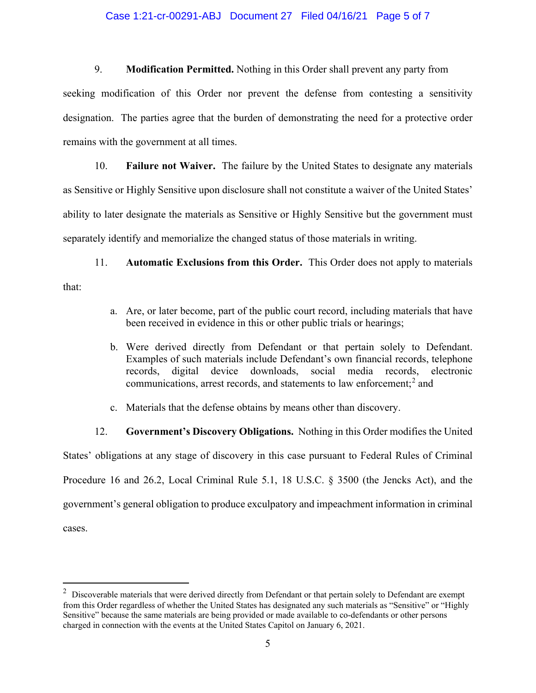#### Case 1:21-cr-00291-ABJ Document 27 Filed 04/16/21 Page 5 of 7

9. **Modification Permitted.** Nothing in this Order shall prevent any party from

seeking modification of this Order nor prevent the defense from contesting a sensitivity designation. The parties agree that the burden of demonstrating the need for a protective order remains with the government at all times.

10. **Failure not Waiver.** The failure by the United States to designate any materials as Sensitive or Highly Sensitive upon disclosure shall not constitute a waiver of the United States' ability to later designate the materials as Sensitive or Highly Sensitive but the government must separately identify and memorialize the changed status of those materials in writing.

11. **Automatic Exclusions from this Order.** This Order does not apply to materials that:

- a. Are, or later become, part of the public court record, including materials that have been received in evidence in this or other public trials or hearings;
- b. Were derived directly from Defendant or that pertain solely to Defendant. Examples of such materials include Defendant's own financial records, telephone records, digital device downloads, social media records, electronic communications, arrest records, and statements to law enforcement; <sup>2</sup> and
- c. Materials that the defense obtains by means other than discovery.

12. **Government's Discovery Obligations.** Nothing in this Order modifies the United

States' obligations at any stage of discovery in this case pursuant to Federal Rules of Criminal Procedure 16 and 26.2, Local Criminal Rule 5.1, 18 U.S.C. § 3500 (the Jencks Act), and the government's general obligation to produce exculpatory and impeachment information in criminal cases.

 $2$  Discoverable materials that were derived directly from Defendant or that pertain solely to Defendant are exempt from this Order regardless of whether the United States has designated any such materials as "Sensitive" or "Highly Sensitive" because the same materials are being provided or made available to co-defendants or other persons charged in connection with the events at the United States Capitol on January 6, 2021.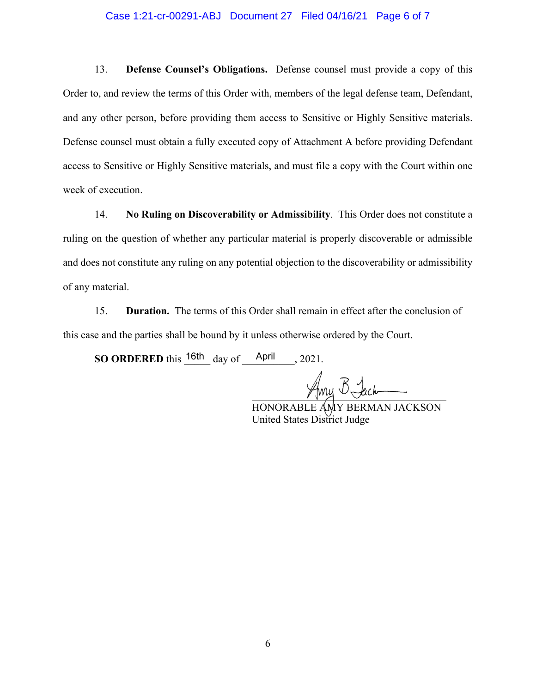#### Case 1:21-cr-00291-ABJ Document 27 Filed 04/16/21 Page 6 of 7

13. **Defense Counsel's Obligations.** Defense counsel must provide a copy of this Order to, and review the terms of this Order with, members of the legal defense team, Defendant, and any other person, before providing them access to Sensitive or Highly Sensitive materials. Defense counsel must obtain a fully executed copy of Attachment A before providing Defendant access to Sensitive or Highly Sensitive materials, and must file a copy with the Court within one week of execution.

14. **No Ruling on Discoverability or Admissibility**. This Order does not constitute a ruling on the question of whether any particular material is properly discoverable or admissible and does not constitute any ruling on any potential objection to the discoverability or admissibility of any material.

15. **Duration.** The terms of this Order shall remain in effect after the conclusion of this case and the parties shall be bound by it unless otherwise ordered by the Court.

**SO ORDERED** this  $\frac{16th}{\text{day of}}$   $\frac{\text{April}}{\text{April}}$ , 2021.

 $\sqrt{mq}$   $\sim$   $\sim$  accomparison

HONORABLE AMY BERMAN JACKSON United States District Judge